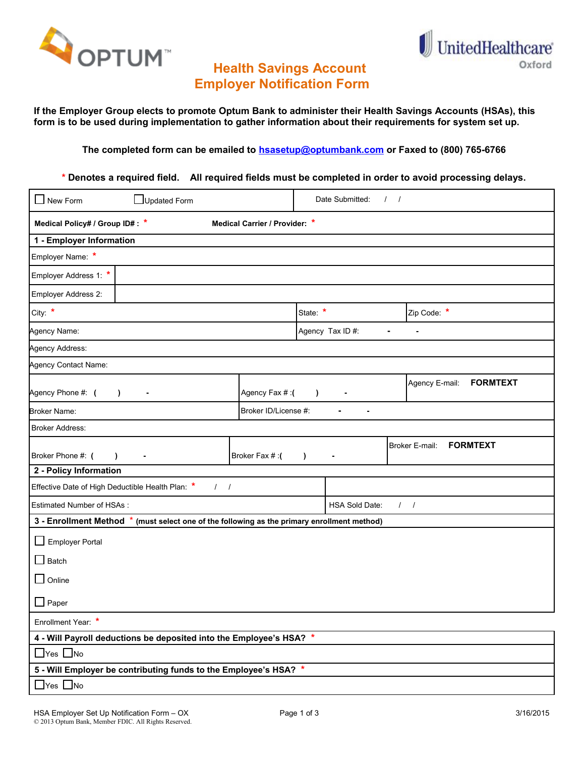

## UnitedHealthcare Oxford

## **Health Savings Account Employer Notification Form**

**If the Employer Group elects to promote Optum Bank to administer their Health Savings Accounts (HSAs), this form is to be used during implementation to gather information about their requirements for system set up.** 

**The completed form can be emailed to [hsasetup@optumbank.com](mailto:hsasetup@optumbank.com) or Faxed to (800) 765-6766**

**\* Denotes a required field. All required fields must be completed in order to avoid processing delays.**

| $\Box$ New Form<br>Updated Form                                                                |                              |                                        | Date Submitted:<br>$\left  \right $                            |                               |             |                                   |  |
|------------------------------------------------------------------------------------------------|------------------------------|----------------------------------------|----------------------------------------------------------------|-------------------------------|-------------|-----------------------------------|--|
| Medical Policy# / Group ID# : *<br>Medical Carrier / Provider: *                               |                              |                                        |                                                                |                               |             |                                   |  |
| 1 - Employer Information                                                                       |                              |                                        |                                                                |                               |             |                                   |  |
| Employer Name: *                                                                               |                              |                                        |                                                                |                               |             |                                   |  |
| Employer Address 1: *                                                                          |                              |                                        |                                                                |                               |             |                                   |  |
| Employer Address 2:                                                                            |                              |                                        |                                                                |                               |             |                                   |  |
| City: *                                                                                        |                              | State: *                               |                                                                |                               | Zip Code: * |                                   |  |
| Agency Name:                                                                                   |                              |                                        | Agency Tax ID #:<br>$\blacksquare$<br>$\overline{\phantom{a}}$ |                               |             |                                   |  |
| Agency Address:                                                                                |                              |                                        |                                                                |                               |             |                                   |  |
| Agency Contact Name:                                                                           |                              |                                        |                                                                |                               |             |                                   |  |
| Agency Phone #: (                                                                              | Agency Fax #: (<br>$\lambda$ |                                        |                                                                | $\blacksquare$                |             | <b>FORMTEXT</b><br>Agency E-mail: |  |
| Broker Name:                                                                                   |                              | Broker ID/License #:<br>$\overline{a}$ |                                                                |                               |             |                                   |  |
| <b>Broker Address:</b>                                                                         |                              |                                        |                                                                |                               |             |                                   |  |
| Broker Phone #: (                                                                              | $\lambda$<br>$\blacksquare$  | Broker Fax #: (                        | $\lambda$                                                      | $\blacksquare$                |             | <b>FORMTEXT</b><br>Broker E-mail: |  |
| 2 - Policy Information                                                                         |                              |                                        |                                                                |                               |             |                                   |  |
| Effective Date of High Deductible Health Plan: *                                               |                              |                                        |                                                                |                               |             |                                   |  |
| Estimated Number of HSAs:                                                                      |                              |                                        |                                                                | HSA Sold Date:<br>$1 \quad 1$ |             |                                   |  |
| 3 - Enrollment Method *<br>(must select one of the following as the primary enrollment method) |                              |                                        |                                                                |                               |             |                                   |  |
| <b>Employer Portal</b>                                                                         |                              |                                        |                                                                |                               |             |                                   |  |
| $\Box$ Batch                                                                                   |                              |                                        |                                                                |                               |             |                                   |  |
| $\Box$ Online                                                                                  |                              |                                        |                                                                |                               |             |                                   |  |
| $\Box$ Paper                                                                                   |                              |                                        |                                                                |                               |             |                                   |  |
| Enrollment Year: *                                                                             |                              |                                        |                                                                |                               |             |                                   |  |
| 4 - Will Payroll deductions be deposited into the Employee's HSA? *                            |                              |                                        |                                                                |                               |             |                                   |  |
| $\Box$ Yes $\Box$ No                                                                           |                              |                                        |                                                                |                               |             |                                   |  |
| 5 - Will Employer be contributing funds to the Employee's HSA? *                               |                              |                                        |                                                                |                               |             |                                   |  |
| $\Box$ Yes $\Box$ No                                                                           |                              |                                        |                                                                |                               |             |                                   |  |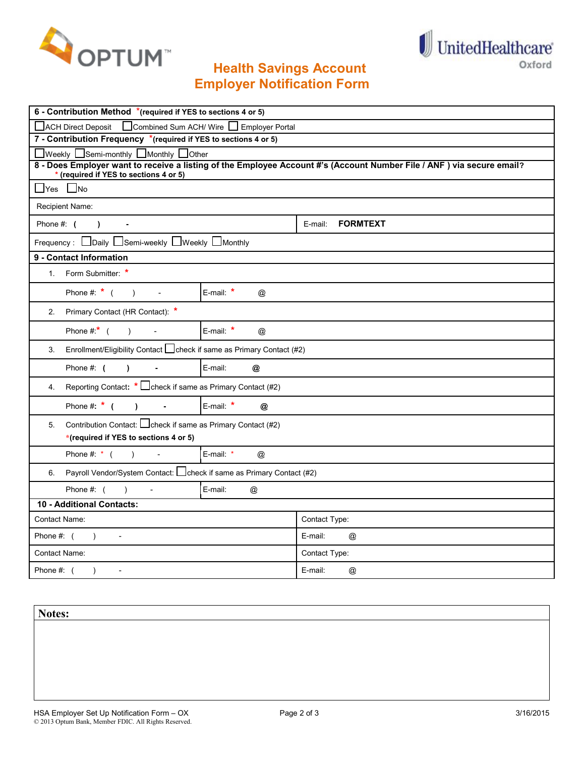



## **Health Savings Account Employer Notification Form**

| 6 - Contribution Method *(required if YES to sections 4 or 5)                                                                                                   |                             |                                 |  |  |  |  |  |  |
|-----------------------------------------------------------------------------------------------------------------------------------------------------------------|-----------------------------|---------------------------------|--|--|--|--|--|--|
| □ ACH Direct Deposit □ Combined Sum ACH/ Wire □ Employer Portal                                                                                                 |                             |                                 |  |  |  |  |  |  |
| 7 - Contribution Frequency *(required if YES to sections 4 or 5)                                                                                                |                             |                                 |  |  |  |  |  |  |
| $\Box$ Weekly $\Box$ Semi-monthly $\Box$ Monthly $\Box$ Other                                                                                                   |                             |                                 |  |  |  |  |  |  |
| 8 - Does Employer want to receive a listing of the Employee Account #'s (Account Number File / ANF) via secure email?<br>* (required if YES to sections 4 or 5) |                             |                                 |  |  |  |  |  |  |
| $\Box$ Yes $\Box$ No                                                                                                                                            |                             |                                 |  |  |  |  |  |  |
| Recipient Name:                                                                                                                                                 |                             |                                 |  |  |  |  |  |  |
| Phone #: (<br>$\rightarrow$                                                                                                                                     |                             | E-mail:<br><b>FORMTEXT</b>      |  |  |  |  |  |  |
| Frequency: $\Box$ Daily $\Box$ Semi-weekly $\Box$ Weekly $\Box$ Monthly                                                                                         |                             |                                 |  |  |  |  |  |  |
| 9 - Contact Information                                                                                                                                         |                             |                                 |  |  |  |  |  |  |
| 1. Form Submitter: *                                                                                                                                            |                             |                                 |  |  |  |  |  |  |
| Phone #: $*$ ( ) -                                                                                                                                              | E-mail: *<br>@              |                                 |  |  |  |  |  |  |
| Primary Contact (HR Contact): *<br>2.                                                                                                                           |                             |                                 |  |  |  |  |  |  |
| Phone $\#$ :* ()<br>$\sim$                                                                                                                                      | E-mail: $*$<br>@            |                                 |  |  |  |  |  |  |
| Enrollment/Eligibility Contact □ check if same as Primary Contact (#2)<br>3.                                                                                    |                             |                                 |  |  |  |  |  |  |
| Phone #: $($ ) -                                                                                                                                                | E-mail:<br>$\circledcirc$   |                                 |  |  |  |  |  |  |
| Reporting Contact: * □ check if same as Primary Contact (#2)<br>4.                                                                                              |                             |                                 |  |  |  |  |  |  |
| Phone #: $*$ ( ) -                                                                                                                                              | E-mail: *<br>$\circledcirc$ |                                 |  |  |  |  |  |  |
| Contribution Contact: Loheck if same as Primary Contact (#2)<br>5.<br>*(required if YES to sections 4 or 5)                                                     |                             |                                 |  |  |  |  |  |  |
| Phone #: $*$ ( ) -                                                                                                                                              | E-mail: $*$<br>@            |                                 |  |  |  |  |  |  |
| Payroll Vendor/System Contact: □ check if same as Primary Contact (#2)<br>6.                                                                                    |                             |                                 |  |  |  |  |  |  |
| Phone #: $($ )<br>$\mathcal{L}$                                                                                                                                 | E-mail:<br>$^{\circledR}$   |                                 |  |  |  |  |  |  |
| 10 - Additional Contacts:                                                                                                                                       |                             |                                 |  |  |  |  |  |  |
| Contact Name:                                                                                                                                                   |                             | Contact Type:                   |  |  |  |  |  |  |
| Phone #: (<br>$\lambda$                                                                                                                                         |                             | E-mail:<br>@                    |  |  |  |  |  |  |
| Contact Name:                                                                                                                                                   |                             | Contact Type:                   |  |  |  |  |  |  |
| Phone #: (<br>$\lambda$<br>$\overline{\phantom{a}}$                                                                                                             |                             | E-mail:<br>$^{\textregistered}$ |  |  |  |  |  |  |

**Notes:**